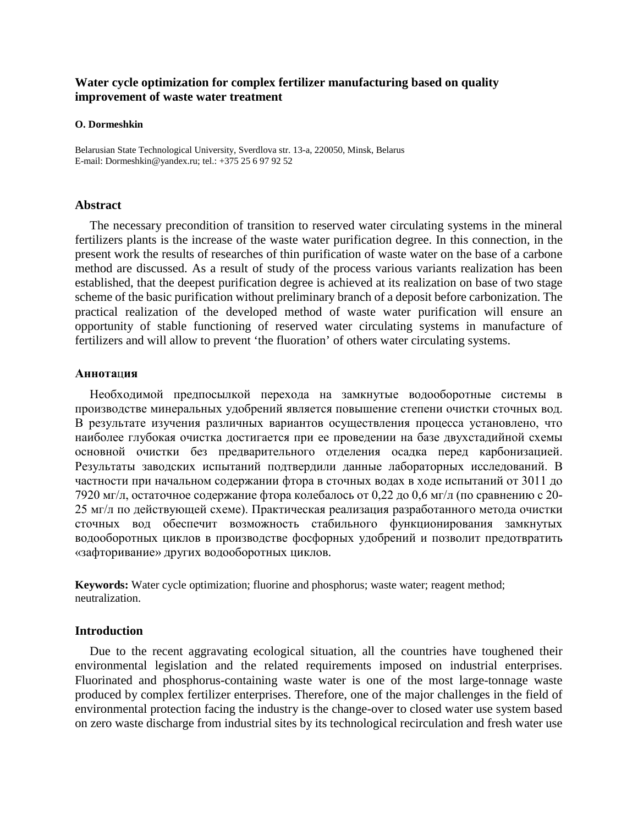# **Water cycle optimization for complex fertilizer manufacturing based on quality improvement of waste water treatment**

#### **O. Dormeshkin**

Belarusian State Technological University, Sverdlova str. 13-a, 220050, Minsk, Belarus E-mail: Dormeshkin@yandex.ru; tel.: +375 25 6 97 92 52

## **Abstract**

The necessary precondition of transition to reserved water circulating systems in the mineral fertilizers plants is the increase of the waste water purification degree. In this connection, in the present work the results of researches of thin purification of waste water on the base of a carbone method are discussed. As a result of study of the process various variants realization has been established, that the deepest purification degree is achieved at its realization on base of two stage scheme of the basic purification without preliminary branch of a deposit before carbonization. The practical realization of the developed method of waste water purification will ensure an opportunity of stable functioning of reserved water circulating systems in manufacture of fertilizers and will allow to prevent 'the fluoration' of others water circulating systems.

#### **Аннота**ц**ия**

Необходимой предпосылкой перехода на замкнутые водооборотные системы в производстве минеральных удобрений является повышение степени очистки сточных вод. В результате изучения различных вариантов осуществления процесса установлено, что наиболее глубокая очистка достигается при ее проведении на базе двухстадийной схемы основной очистки без предварительного отделения осадка перед карбонизацией. Результаты заводских испытаний подтвердили данные лабораторных исследований. В частности при начальном содержании фтора в сточных водах в ходе испытаний от 3011 до 7920 мг/л, остаточное содержание фтора колебалось от 0,22 до 0,6 мг/л (по сравнению с 20- 25 мг/л по действующей схеме). Практическая реализация разработанного метода очистки сточных вод обеспечит возможность стабильного функционирования замкнутых водооборотных циклов в производстве фосфорных удобрений и позволит предотвратить «зафторивание» других водооборотных циклов.

**Keywords:** Water cycle optimization; fluorine and phosphorus; waste water; reagent method; neutralization.

#### **Introduction**

Due to the recent aggravating ecological situation, all the countries have toughened their environmental legislation and the related requirements imposed on industrial enterprises. Fluorinated and phosphorus-containing waste water is one of the most large-tonnage waste produced by complex fertilizer enterprises. Therefore, one of the major challenges in the field of environmental protection facing the industry is the change-over to closed water use system based on zero waste discharge from industrial sites by its technological recirculation and fresh water use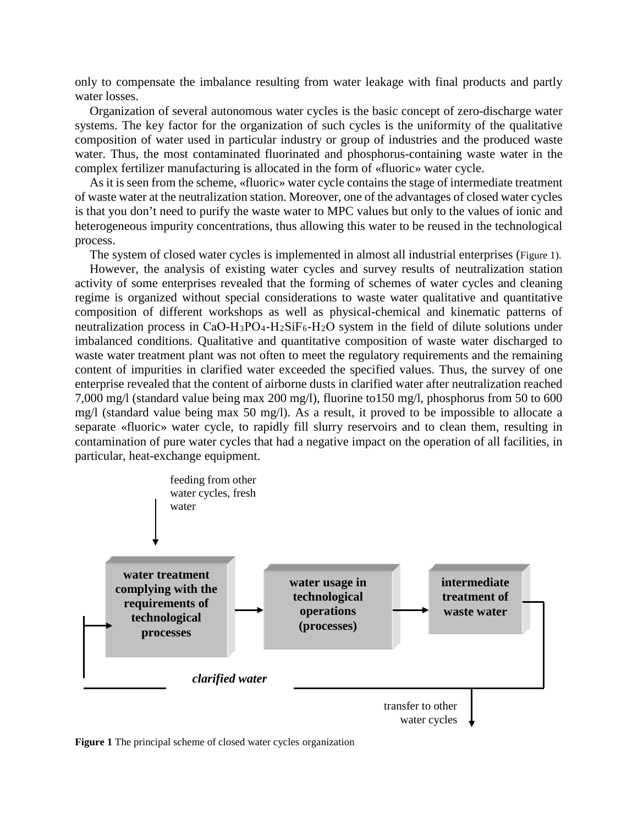only to compensate the imbalance resulting from water leakage with final products and partly water losses.

Organization of several autonomous water cycles is the basic concept of zero-discharge water systems. The key factor for the organization of such cycles is the uniformity of the qualitative composition of water used in particular industry or group of industries and the produced waste water. Thus, the most contaminated fluorinated and phosphorus-containing waste water in the complex fertilizer manufacturing is allocated in the form of «fluoric» water cycle.

As it is seen from the scheme, «fluoric» water cycle contains the stage of intermediate treatment of waste water at the neutralization station. Moreover, one of the advantages of closed water cycles is that you don't need to purify the waste water to MPC values but only to the values of ionic and heterogeneous impurity concentrations, thus allowing this water to be reused in the technological process.

The system of closed water cycles is implemented in almost all industrial enterprises (Figure 1).

However, the analysis of existing water cycles and survey results of neutralization station activity of some enterprises revealed that the forming of schemes of water cycles and cleaning regime is organized without special considerations to waste water qualitative and quantitative composition of different workshops as well as physical-chemical and kinematic patterns of neutralization process in  $CaO-H_3PO_4-H_2SiF_6-H_2O$  system in the field of dilute solutions under imbalanced conditions. Qualitative and quantitative composition of waste water discharged to waste water treatment plant was not often to meet the regulatory requirements and the remaining content of impurities in clarified water exceeded the specified values. Thus, the survey of one enterprise revealed that the content of airborne dusts in clarified water after neutralization reached 7,000 mg/l (standard value being max 200 mg/l), fluorine to150 mg/l, phosphorus from 50 to 600 mg/l (standard value being max 50 mg/l). As a result, it proved to be impossible to allocate a separate «fluoric» water cycle, to rapidly fill slurry reservoirs and to clean them, resulting in contamination of pure water cycles that had a negative impact on the operation of all facilities, in particular, heat-exchange equipment.



**Figure 1** The principal scheme of closed water cycles organization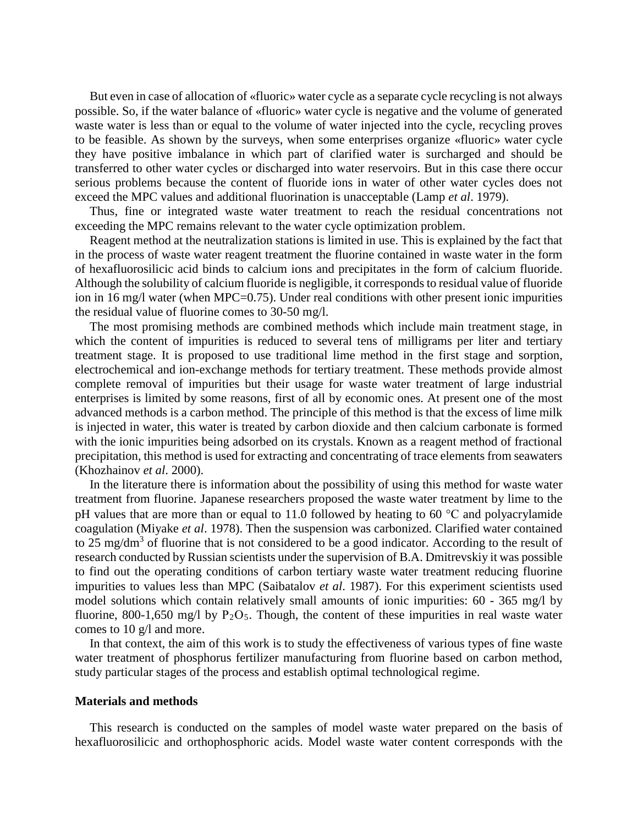But even in case of allocation of «fluoric» water cycle as a separate cycle recycling is not always possible. So, if the water balance of «fluoric» water cycle is negative and the volume of generated waste water is less than or equal to the volume of water injected into the cycle, recycling proves to be feasible. As shown by the surveys, when some enterprises organize «fluoric» water cycle they have positive imbalance in which part of clarified water is surcharged and should be transferred to other water cycles or discharged into water reservoirs. But in this case there occur serious problems because the content of fluoride ions in water of other water cycles does not exceed the MPC values and additional fluorination is unacceptable (Lamp *et al*. 1979).

Thus, fine or integrated waste water treatment to reach the residual concentrations not exceeding the MPC remains relevant to the water cycle optimization problem.

Reagent method at the neutralization stations is limited in use. This is explained by the fact that in the process of waste water reagent treatment the fluorine contained in waste water in the form of hexafluorosilicic acid binds to calcium ions and precipitates in the form of calcium fluoride. Although the solubility of calcium fluoride is negligible, it corresponds to residual value of fluoride ion in 16 mg/l water (when MPC=0.75). Under real conditions with other present ionic impurities the residual value of fluorine comes to 30-50 mg/l.

The most promising methods are combined methods which include main treatment stage, in which the content of impurities is reduced to several tens of milligrams per liter and tertiary treatment stage. It is proposed to use traditional lime method in the first stage and sorption, electrochemical and ion-exchange methods for tertiary treatment. These methods provide almost complete removal of impurities but their usage for waste water treatment of large industrial enterprises is limited by some reasons, first of all by economic ones. At present one of the most advanced methods is a carbon method. The principle of this method is that the excess of lime milk is injected in water, this water is treated by carbon dioxide and then calcium carbonate is formed with the ionic impurities being adsorbed on its crystals. Known as a reagent method of fractional precipitation, this method is used for extracting and concentrating of trace elements from seawaters (Khozhainov *et al*. 2000).

In the literature there is information about the possibility of using this method for waste water treatment from fluorine. Japanese researchers proposed the waste water treatment by lime to the pH values that are more than or equal to 11.0 followed by heating to 60  $^{\circ}$ C and polyacrylamide coagulation (Miyake *et al*. 1978). Then the suspension was carbonized. Clarified water contained to 25 mg/dm<sup>3</sup> of fluorine that is not considered to be a good indicator. According to the result of research conducted by Russian scientists under the supervision of B.A. Dmitrevskiy it was possible to find out the operating conditions of carbon tertiary waste water treatment reducing fluorine impurities to values less than MPC (Saibatalov *et al*. 1987). For this experiment scientists used model solutions which contain relatively small amounts of ionic impurities: 60 - 365 mg/l by fluorine, 800-1,650 mg/l by  $P_2O_5$ . Though, the content of these impurities in real waste water comes to 10 g/l and more.

In that context, the aim of this work is to study the effectiveness of various types of fine waste water treatment of phosphorus fertilizer manufacturing from fluorine based on carbon method, study particular stages of the process and establish optimal technological regime.

## **Materials and methods**

This research is conducted on the samples of model waste water prepared on the basis of hexafluorosilicic and orthophosphoric acids. Model waste water content corresponds with the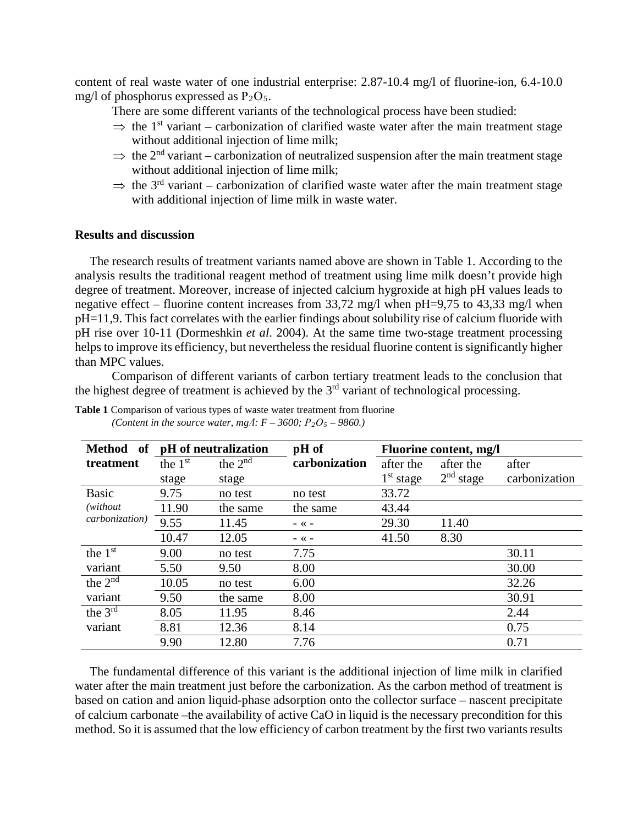content of real waste water of one industrial enterprise: 2.87-10.4 mg/l of fluorine-ion, 6.4-10.0 mg/l of phosphorus expressed as  $P_2O_5$ .

There are some different variants of the technological process have been studied:

- $\Rightarrow$  the 1<sup>st</sup> variant carbonization of clarified waste water after the main treatment stage without additional injection of lime milk;
- $\Rightarrow$  the 2<sup>nd</sup> variant carbonization of neutralized suspension after the main treatment stage without additional injection of lime milk;
- $\Rightarrow$  the 3<sup>rd</sup> variant carbonization of clarified waste water after the main treatment stage with additional injection of lime milk in waste water.

## **Results and discussion**

The research results of treatment variants named above are shown in Table 1. According to the analysis results the traditional reagent method of treatment using lime milk doesn't provide high degree of treatment. Moreover, increase of injected calcium hygroxide at high pH values leads to negative effect – fluorine content increases from  $33.72 \text{ mg/l}$  when pH=9,75 to 43.33 mg/l when рН=11,9. This fact correlates with the earlier findings about solubility rise of calcium fluoride with pH rise over 10-11 (Dormeshkin *et al*. 2004). At the same time two-stage treatment processing helps to improve its efficiency, but nevertheless the residual fluorine content is significantly higher than MPC values.

Comparison of different variants of carbon tertiary treatment leads to the conclusion that the highest degree of treatment is achieved by the  $3<sup>rd</sup>$  variant of technological processing.

| of<br><b>Method</b>     |           | pH of neutralization    | pH of         | Fluorine content, mg/l |                       |               |
|-------------------------|-----------|-------------------------|---------------|------------------------|-----------------------|---------------|
| treatment               | the $1st$ | the $2^{n\overline{d}}$ | carbonization | after the              | after the             | after         |
|                         | stage     | stage                   |               | 1 <sup>st</sup> stage  | 2 <sup>nd</sup> stage | carbonization |
| <b>Basic</b>            | 9.75      | no test                 | no test       | 33.72                  |                       |               |
| (without)               | 11.90     | the same                | the same      | 43.44                  |                       |               |
| carbonization)          | 9.55      | 11.45                   | $ \ll$ $-$    | 29.30                  | 11.40                 |               |
|                         | 10.47     | 12.05                   | $ \ll$ $-$    | 41.50                  | 8.30                  |               |
| the $1st$               | 9.00      | no test                 | 7.75          |                        |                       | 30.11         |
| variant                 | 5.50      | 9.50                    | 8.00          |                        |                       | 30.00         |
| the $2^{n\overline{d}}$ | 10.05     | no test                 | 6.00          |                        |                       | 32.26         |
| variant                 | 9.50      | the same                | 8.00          |                        |                       | 30.91         |
| the $3rd$               | 8.05      | 11.95                   | 8.46          |                        |                       | 2.44          |
| variant                 | 8.81      | 12.36                   | 8.14          |                        |                       | 0.75          |
|                         | 9.90      | 12.80                   | 7.76          |                        |                       | 0.71          |

**Table 1** Comparison of various types of waste water treatment from fluorine *(Content in the source water, mg/* $\colon F - 3600$ *;*  $P_2O_5 - 9860$ *.)* 

The fundamental difference of this variant is the additional injection of lime milk in clarified water after the main treatment just before the carbonization. As the carbon method of treatment is based on cation and anion liquid-phase adsorption onto the collector surface – nascent precipitate of calcium carbonate –the availability of active CaO in liquid is the necessary precondition for this method. So it is assumed that the low efficiency of carbon treatment by the first two variants results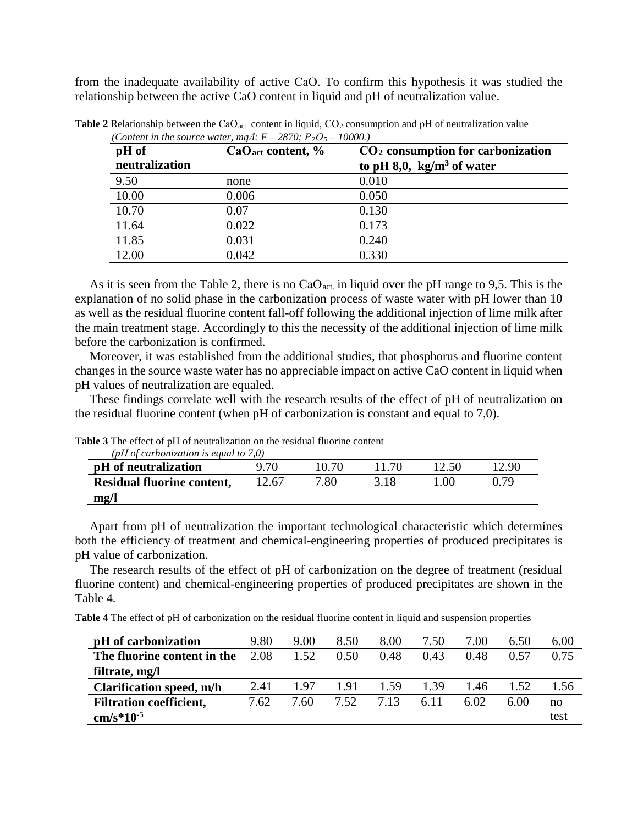from the inadequate availability of active СаО. To confirm this hypothesis it was studied the relationship between the active CaO content in liquid and pH of neutralization value.

|                |       | CO <sub>2</sub> consumption for carbonization |
|----------------|-------|-----------------------------------------------|
| neutralization |       | to pH 8,0, $kg/m3$ of water                   |
| 9.50           | none  | 0.010                                         |
| 10.00          | 0.006 | 0.050                                         |
| 10.70          | 0.07  | 0.130                                         |
| 11.64          | 0.022 | 0.173                                         |
| 11.85          | 0.031 | 0.240                                         |
| 12.00          | 0.042 | 0.330                                         |

Table 2 Relationship between the CaO<sub>act</sub> content in liquid, CO<sub>2</sub> consumption and pH of neutralization value *(Content in the source water, mg//* $F = 2870 \cdot P_2 Q_5 = 10000$ )

As it is seen from the Table 2, there is no  $CaO<sub>act</sub>$  in liquid over the pH range to 9,5. This is the explanation of no solid phase in the carbonization process of waste water with pH lower than 10 as well as the residual fluorine content fall-off following the additional injection of lime milk after the main treatment stage. Accordingly to this the necessity of the additional injection of lime milk before the carbonization is confirmed.

Moreover, it was established from the additional studies, that phosphorus and fluorine content changes in the source waste water has no appreciable impact on active CaO content in liquid when pH values of neutralization are equaled.

These findings correlate well with the research results of the effect of pH of neutralization on the residual fluorine content (when pH of carbonization is constant and equal to 7,0).

| (pH of carbonization is equal to $7,0$ ) |       |       |       |       |       |  |  |  |  |
|------------------------------------------|-------|-------|-------|-------|-------|--|--|--|--|
| pH of neutralization                     | 9.70  | 10.70 | 11.70 | 12.50 | 12.90 |  |  |  |  |
| <b>Residual fluorine content,</b>        | 12.67 | 7.80  | 318   | 100   | በ 79  |  |  |  |  |
| mg/l                                     |       |       |       |       |       |  |  |  |  |

Table 3 The effect of pH of neutralization on the residual fluorine content

Apart from pH of neutralization the important technological characteristic which determines both the efficiency of treatment and chemical-engineering properties of produced precipitates is pH value of carbonization.

The research results of the effect of pH of carbonization on the degree of treatment (residual fluorine content) and chemical-engineering properties of produced precipitates are shown in the Table 4.

**Table 4** The effect of pH of carbonization on the residual fluorine content in liquid and suspension properties

| pH of carbonization            | 9.80 | 9.00 | 8.50 | 8.00 | 7.50 | 7.00 | 6.50        | 6.00 |
|--------------------------------|------|------|------|------|------|------|-------------|------|
| The fluorine content in the    | 2.08 | 1.52 | 0.50 | 0.48 | 0.43 | 0.48 | <u>በ 57</u> | 0.75 |
| filtrate, mg/l                 |      |      |      |      |      |      |             |      |
| Clarification speed, m/h       | 2.41 | 197  | 1.91 | 1.59 | 1.39 | 1.46 | 1.52        | 1.56 |
| <b>Filtration coefficient,</b> | 7.62 | 7.60 | 7.52 | 7.13 | 6.11 | 6.02 | 6.00        | no   |
| $cm/s*10^{-5}$                 |      |      |      |      |      |      |             | test |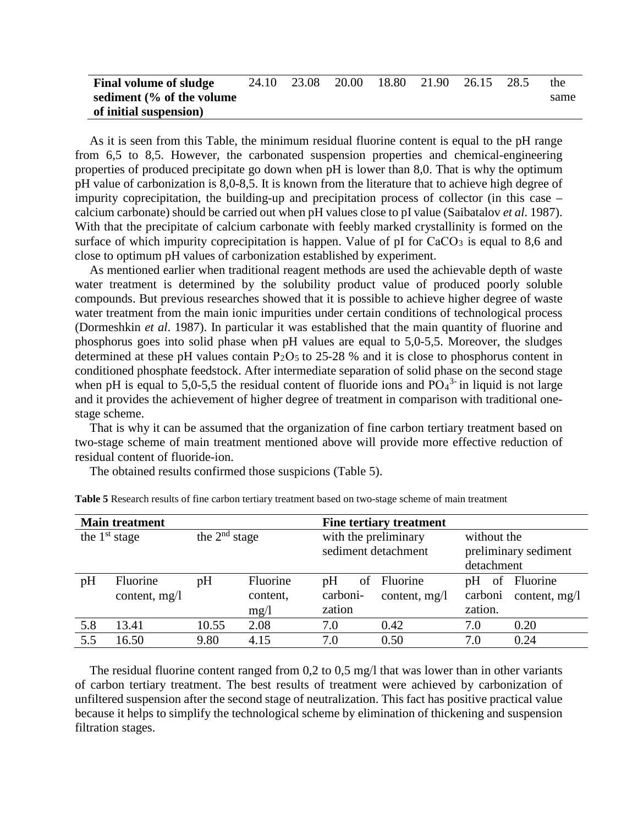| <b>Final volume of sludge</b> | 24.10 | 23.08 | 20.00 | 18.80 21.90 | 26.15 | 28.5 | the  |
|-------------------------------|-------|-------|-------|-------------|-------|------|------|
| sediment (% of the volume     |       |       |       |             |       |      | same |
| of initial suspension)        |       |       |       |             |       |      |      |

As it is seen from this Table, the minimum residual fluorine content is equal to the pH range from 6,5 to 8,5. However, the carbonated suspension properties and chemical-engineering properties of produced precipitate go down when pH is lower than 8,0. That is why the optimum pH value of carbonization is 8,0-8,5. It is known from the literature that to achieve high degree of impurity coprecipitation, the building-up and precipitation process of collector (in this case – calcium carbonate) should be carried out when pH values close to pI value (Saibatalov *et al*. 1987). With that the precipitate of calcium carbonate with feebly marked crystallinity is formed on the surface of which impurity coprecipitation is happen. Value of pI for  $CaCO<sub>3</sub>$  is equal to 8,6 and close to optimum pH values of carbonization established by experiment.

As mentioned earlier when traditional reagent methods are used the achievable depth of waste water treatment is determined by the solubility product value of produced poorly soluble compounds. But previous researches showed that it is possible to achieve higher degree of waste water treatment from the main ionic impurities under certain conditions of technological process (Dormeshkin *et al*. 1987). In particular it was established that the main quantity of fluorine and phosphorus goes into solid phase when pH values are equal to 5,0-5,5. Moreover, the sludges determined at these pH values contain  $P_2O_5$  to 25-28 % and it is close to phosphorus content in conditioned phosphate feedstock. After intermediate separation of solid phase on the second stage when pH is equal to 5,0-5,5 the residual content of fluoride ions and  $PO_4^3$  in liquid is not large and it provides the achievement of higher degree of treatment in comparison with traditional onestage scheme.

That is why it can be assumed that the organization of fine carbon tertiary treatment based on two-stage scheme of main treatment mentioned above will provide more effective reduction of residual content of fluoride-ion.

The obtained results confirmed those suspicions (Table 5).

|                 | <b>Main treatment</b> |                 |          | Fine tertiary treatment |                     |                                                   |               |  |  |
|-----------------|-----------------------|-----------------|----------|-------------------------|---------------------|---------------------------------------------------|---------------|--|--|
| the $1st$ stage |                       | the $2nd$ stage |          | with the preliminary    | sediment detachment | without the<br>preliminary sediment<br>detachment |               |  |  |
| pH              | Fluorine              | pH              | Fluorine | pH<br>οf                | Fluorine            | pH<br>of                                          | Fluorine      |  |  |
|                 | content, $mg/l$       |                 | content, | carboni-                | content, mg/l       | carboni                                           | content, mg/l |  |  |
|                 |                       |                 | mg/1     | zation                  |                     | zation.                                           |               |  |  |
| 5.8             | 13.41                 | 10.55           | 2.08     | 7.0                     | 0.42                | 7.0                                               | 0.20          |  |  |
| 5.5             | 16.50                 | 9.80            | 4.15     | 7.0                     | 0.50                | 7.0                                               | 0.24          |  |  |

**Table 5** Research results of fine carbon tertiary treatment based on two-stage scheme of main treatment

The residual fluorine content ranged from 0,2 to 0,5 mg/l that was lower than in other variants of carbon tertiary treatment. The best results of treatment were achieved by carbonization of unfiltered suspension after the second stage of neutralization. This fact has positive practical value because it helps to simplify the technological scheme by elimination of thickening and suspension filtration stages.